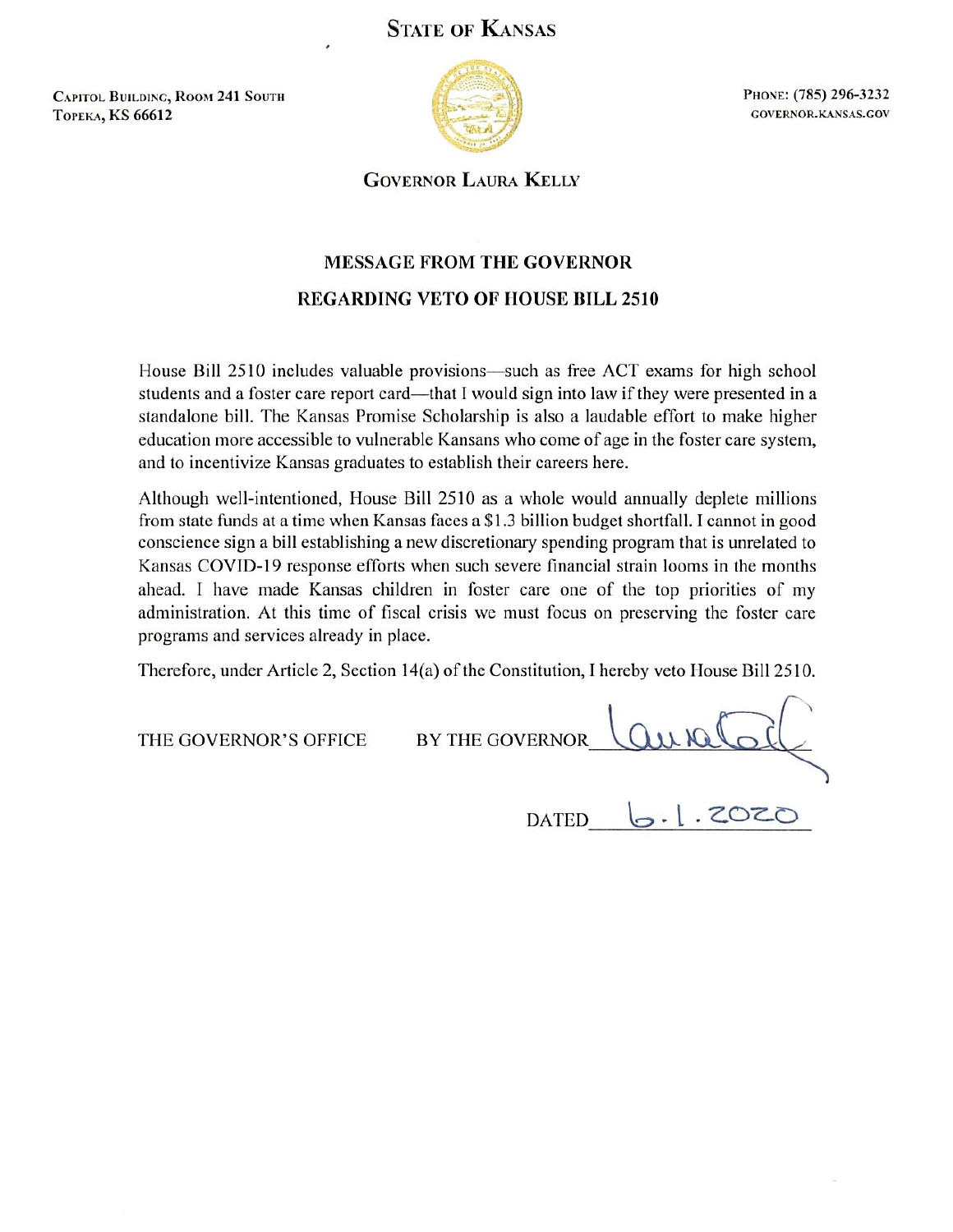## **STATE OF KANSAS**

**CAPITOL BUILDING, ROOM 241 SOUTH ТОРЕКА, KS 66612** 



PHONE: (785) 296-3232 GOVERNOR.KANSAS.GOV

**GOVERNOR LAURA KELLY** 

## **MESSAGE FROM THE GOVERNOR REGARDING VETO OF HOUSE BILL 2510**

House Bill 2510 includes valuable provisions—such as free ACT exams for high school students and a foster care report card—that I would sign into law if they were presented in a standalone bill. The Kansas Promise Scholarship is also a laudable effort to make higher education more accessible to vulnerable Kansans who come of age in the foster care system, and to incentivize Kansas graduates to establish their careers here.

Although well-intentioned, House Bill 2510 as a whole would annually deplete millions from state funds at a time when Kansas faces a \$1.3 billion budget shortfall. I cannot in good conscience sign a bill establishing a new discretionary spending program that is unrelated to Kansas COVID-19 response efforts when such severe financial strain looms in the months ahead. I have made Kansas children in foster care one of the top priorities of my administration. At this time of fiscal crisis we must focus on preserving the foster care programs and services already in place.

Therefore, under Article 2, Section 14(a) of the Constitution, I hereby veto House Bill 2510.

THE GOVERNOR'S OFFICE

**BY THE GOVERNOR** 

**DATED** 

 $502.1.7$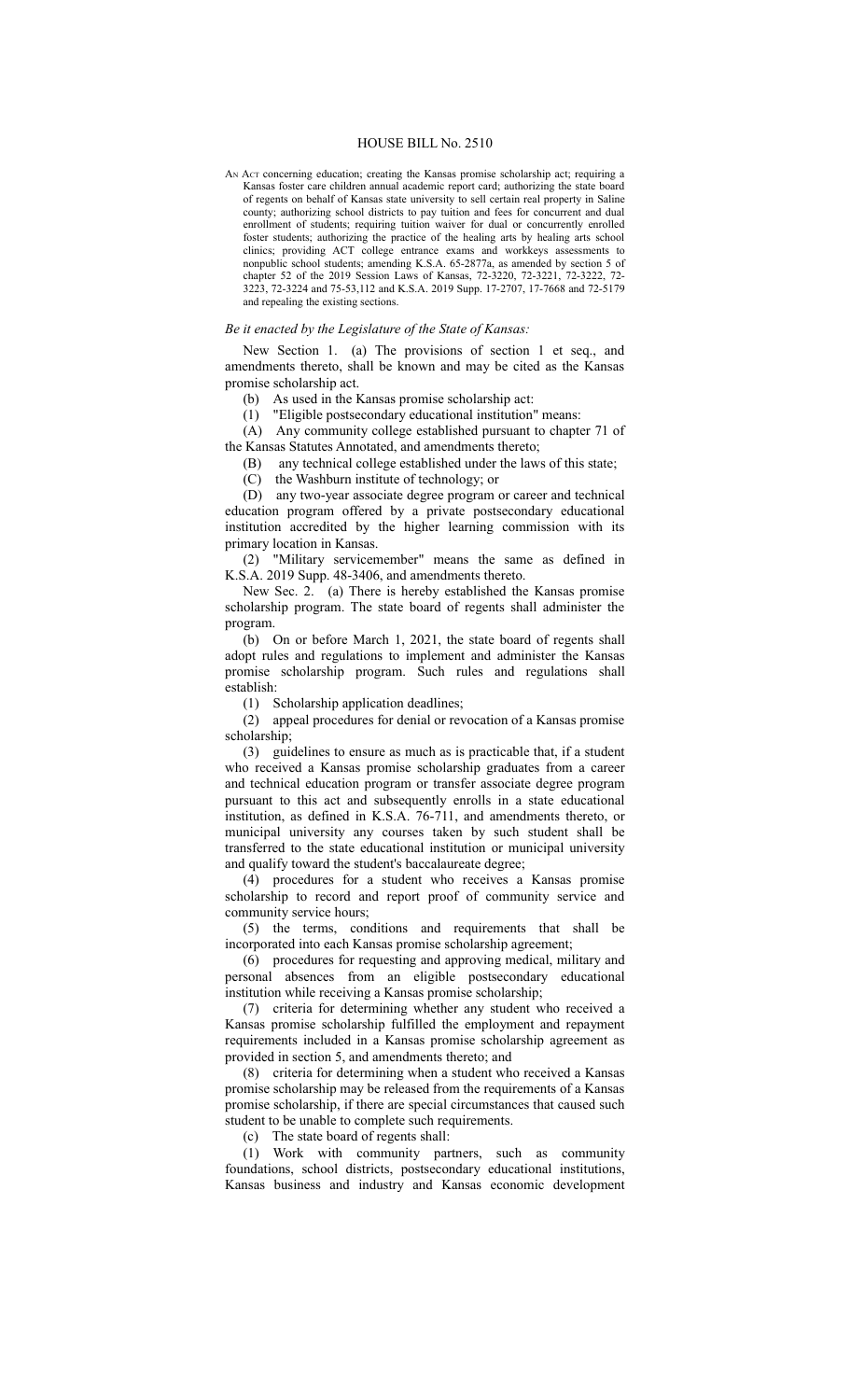## HOUSE BILL No. 2510

AN ACT concerning education; creating the Kansas promise scholarship act; requiring a Kansas foster care children annual academic report card; authorizing the state board of regents on behalf of Kansas state university to sell certain real property in Saline county; authorizing school districts to pay tuition and fees for concurrent and dual enrollment of students; requiring tuition waiver for dual or concurrently enrolled foster students; authorizing the practice of the healing arts by healing arts school clinics; providing ACT college entrance exams and workkeys assessments to nonpublic school students; amending K.S.A. 65-2877a, as amended by section 5 of chapter 52 of the 2019 Session Laws of Kansas, 72-3220, 72-3221, 72-3222, 72- 3223, 72-3224 and 75-53,112 and K.S.A. 2019 Supp. 17-2707, 17-7668 and 72-5179 and repealing the existing sections.

## *Be it enacted by the Legislature of the State of Kansas:*

New Section 1. (a) The provisions of section 1 et seq., and amendments thereto, shall be known and may be cited as the Kansas promise scholarship act.

(b) As used in the Kansas promise scholarship act:

(1) "Eligible postsecondary educational institution" means:

(A) Any community college established pursuant to chapter 71 of the Kansas Statutes Annotated, and amendments thereto;

(B) any technical college established under the laws of this state;

(C) the Washburn institute of technology; or

(D) any two-year associate degree program or career and technical education program offered by a private postsecondary educational institution accredited by the higher learning commission with its primary location in Kansas.

(2) "Military servicemember" means the same as defined in K.S.A. 2019 Supp. 48-3406, and amendments thereto.

New Sec. 2. (a) There is hereby established the Kansas promise scholarship program. The state board of regents shall administer the program.

(b) On or before March 1, 2021, the state board of regents shall adopt rules and regulations to implement and administer the Kansas promise scholarship program. Such rules and regulations shall establish:

(1) Scholarship application deadlines;

(2) appeal procedures for denial or revocation of a Kansas promise scholarship;

(3) guidelines to ensure as much as is practicable that, if a student who received a Kansas promise scholarship graduates from a career and technical education program or transfer associate degree program pursuant to this act and subsequently enrolls in a state educational institution, as defined in K.S.A. 76-711, and amendments thereto, or municipal university any courses taken by such student shall be transferred to the state educational institution or municipal university and qualify toward the student's baccalaureate degree;

(4) procedures for a student who receives a Kansas promise scholarship to record and report proof of community service and community service hours;

(5) the terms, conditions and requirements that shall be incorporated into each Kansas promise scholarship agreement;

(6) procedures for requesting and approving medical, military and personal absences from an eligible postsecondary educational institution while receiving a Kansas promise scholarship;

(7) criteria for determining whether any student who received a Kansas promise scholarship fulfilled the employment and repayment requirements included in a Kansas promise scholarship agreement as provided in section 5, and amendments thereto; and

(8) criteria for determining when a student who received a Kansas promise scholarship may be released from the requirements of a Kansas promise scholarship, if there are special circumstances that caused such student to be unable to complete such requirements.

(c) The state board of regents shall:

(1) Work with community partners, such as community foundations, school districts, postsecondary educational institutions, Kansas business and industry and Kansas economic development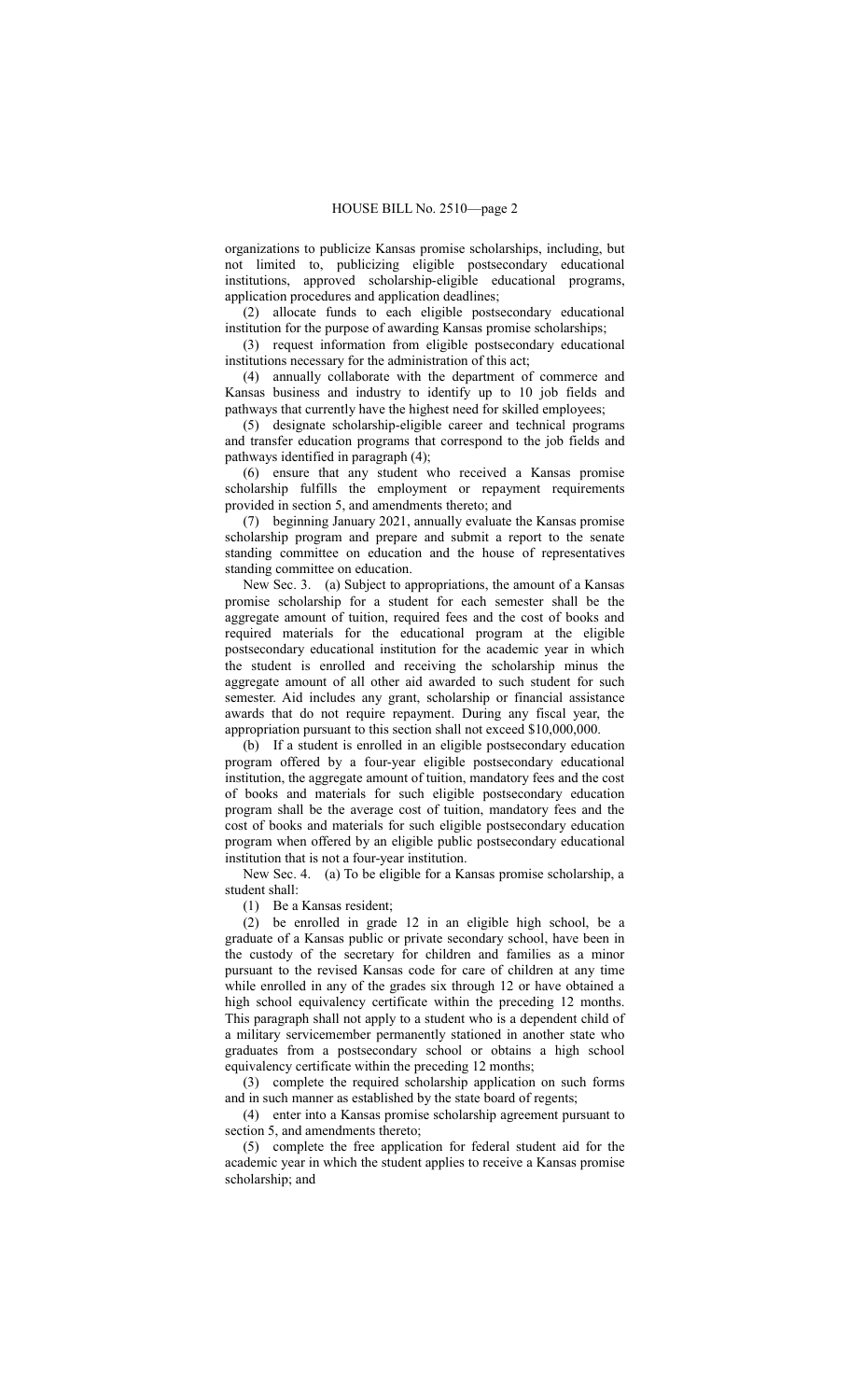organizations to publicize Kansas promise scholarships, including, but not limited to, publicizing eligible postsecondary educational institutions, approved scholarship-eligible educational programs, application procedures and application deadlines;

(2) allocate funds to each eligible postsecondary educational institution for the purpose of awarding Kansas promise scholarships;

(3) request information from eligible postsecondary educational institutions necessary for the administration of this act;

(4) annually collaborate with the department of commerce and Kansas business and industry to identify up to 10 job fields and pathways that currently have the highest need for skilled employees;

(5) designate scholarship-eligible career and technical programs and transfer education programs that correspond to the job fields and pathways identified in paragraph (4);

(6) ensure that any student who received a Kansas promise scholarship fulfills the employment or repayment requirements provided in section 5, and amendments thereto; and

(7) beginning January 2021, annually evaluate the Kansas promise scholarship program and prepare and submit a report to the senate standing committee on education and the house of representatives standing committee on education.

New Sec. 3. (a) Subject to appropriations, the amount of a Kansas promise scholarship for a student for each semester shall be the aggregate amount of tuition, required fees and the cost of books and required materials for the educational program at the eligible postsecondary educational institution for the academic year in which the student is enrolled and receiving the scholarship minus the aggregate amount of all other aid awarded to such student for such semester. Aid includes any grant, scholarship or financial assistance awards that do not require repayment. During any fiscal year, the appropriation pursuant to this section shall not exceed \$10,000,000.

(b) If a student is enrolled in an eligible postsecondary education program offered by a four-year eligible postsecondary educational institution, the aggregate amount of tuition, mandatory fees and the cost of books and materials for such eligible postsecondary education program shall be the average cost of tuition, mandatory fees and the cost of books and materials for such eligible postsecondary education program when offered by an eligible public postsecondary educational institution that is not a four-year institution.

New Sec. 4. (a) To be eligible for a Kansas promise scholarship, a student shall:

(1) Be a Kansas resident;

(2) be enrolled in grade 12 in an eligible high school, be a graduate of a Kansas public or private secondary school, have been in the custody of the secretary for children and families as a minor pursuant to the revised Kansas code for care of children at any time while enrolled in any of the grades six through 12 or have obtained a high school equivalency certificate within the preceding 12 months. This paragraph shall not apply to a student who is a dependent child of a military servicemember permanently stationed in another state who graduates from a postsecondary school or obtains a high school equivalency certificate within the preceding 12 months;

(3) complete the required scholarship application on such forms and in such manner as established by the state board of regents;

(4) enter into a Kansas promise scholarship agreement pursuant to section 5, and amendments thereto;

(5) complete the free application for federal student aid for the academic year in which the student applies to receive a Kansas promise scholarship; and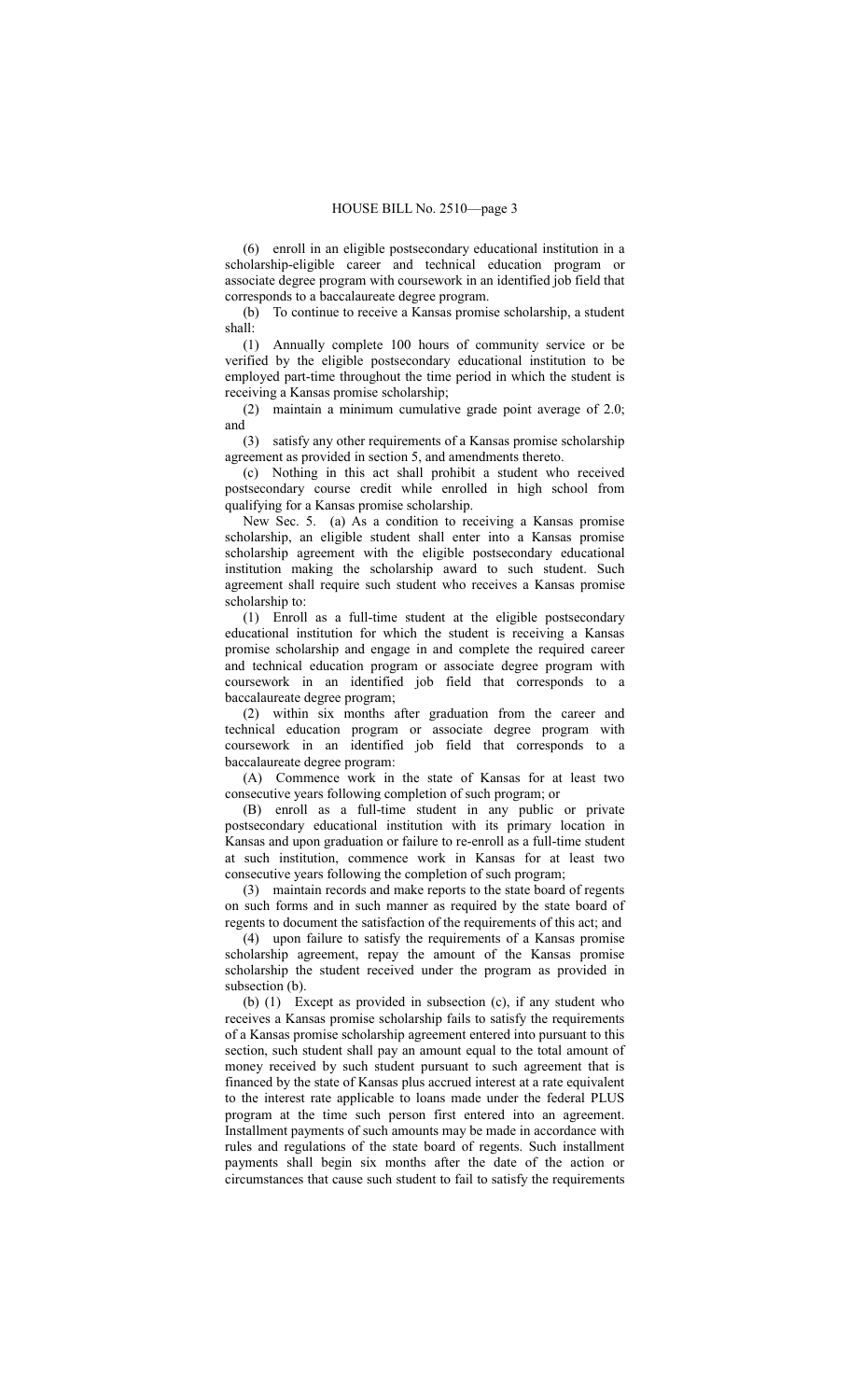(6) enroll in an eligible postsecondary educational institution in a scholarship-eligible career and technical education program or associate degree program with coursework in an identified job field that corresponds to a baccalaureate degree program.

(b) To continue to receive a Kansas promise scholarship, a student shall:

(1) Annually complete 100 hours of community service or be verified by the eligible postsecondary educational institution to be employed part-time throughout the time period in which the student is receiving a Kansas promise scholarship;

(2) maintain a minimum cumulative grade point average of 2.0; and

(3) satisfy any other requirements of a Kansas promise scholarship agreement as provided in section 5, and amendments thereto.

(c) Nothing in this act shall prohibit a student who received postsecondary course credit while enrolled in high school from qualifying for a Kansas promise scholarship.

New Sec. 5. (a) As a condition to receiving a Kansas promise scholarship, an eligible student shall enter into a Kansas promise scholarship agreement with the eligible postsecondary educational institution making the scholarship award to such student. Such agreement shall require such student who receives a Kansas promise scholarship to:

(1) Enroll as a full-time student at the eligible postsecondary educational institution for which the student is receiving a Kansas promise scholarship and engage in and complete the required career and technical education program or associate degree program with coursework in an identified job field that corresponds to a baccalaureate degree program;

(2) within six months after graduation from the career and technical education program or associate degree program with coursework in an identified job field that corresponds to a baccalaureate degree program:

(A) Commence work in the state of Kansas for at least two consecutive years following completion of such program; or

(B) enroll as a full-time student in any public or private postsecondary educational institution with its primary location in Kansas and upon graduation or failure to re-enroll as a full-time student at such institution, commence work in Kansas for at least two consecutive years following the completion of such program;

(3) maintain records and make reports to the state board of regents on such forms and in such manner as required by the state board of regents to document the satisfaction of the requirements of this act; and

(4) upon failure to satisfy the requirements of a Kansas promise scholarship agreement, repay the amount of the Kansas promise scholarship the student received under the program as provided in subsection (b).

(b) (1) Except as provided in subsection (c), if any student who receives a Kansas promise scholarship fails to satisfy the requirements of a Kansas promise scholarship agreement entered into pursuant to this section, such student shall pay an amount equal to the total amount of money received by such student pursuant to such agreement that is financed by the state of Kansas plus accrued interest at a rate equivalent to the interest rate applicable to loans made under the federal PLUS program at the time such person first entered into an agreement. Installment payments of such amounts may be made in accordance with rules and regulations of the state board of regents. Such installment payments shall begin six months after the date of the action or circumstances that cause such student to fail to satisfy the requirements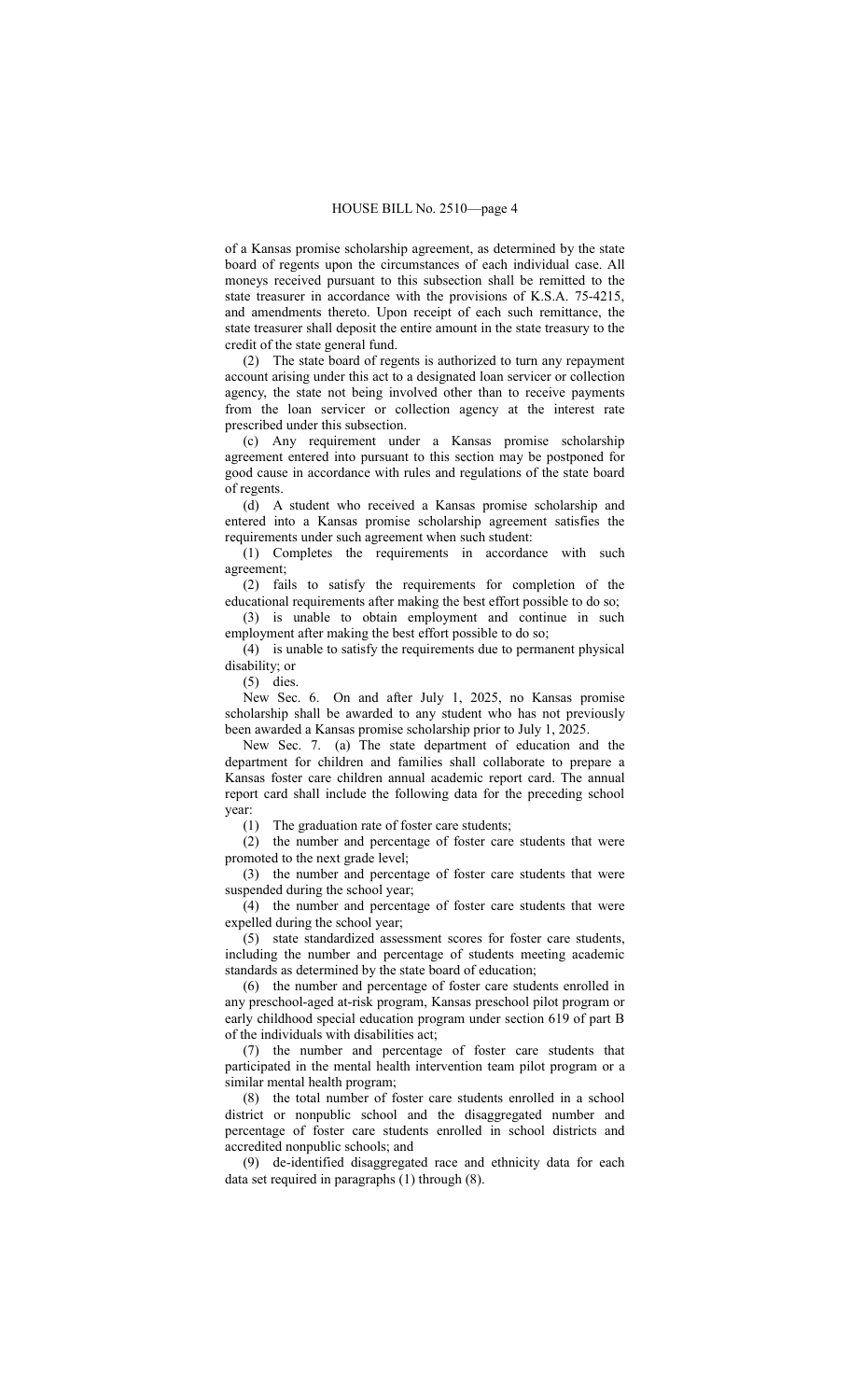of a Kansas promise scholarship agreement, as determined by the state board of regents upon the circumstances of each individual case. All moneys received pursuant to this subsection shall be remitted to the state treasurer in accordance with the provisions of K.S.A. 75-4215, and amendments thereto. Upon receipt of each such remittance, the state treasurer shall deposit the entire amount in the state treasury to the credit of the state general fund.

(2) The state board of regents is authorized to turn any repayment account arising under this act to a designated loan servicer or collection agency, the state not being involved other than to receive payments from the loan servicer or collection agency at the interest rate prescribed under this subsection.

(c) Any requirement under a Kansas promise scholarship agreement entered into pursuant to this section may be postponed for good cause in accordance with rules and regulations of the state board of regents.

(d) A student who received a Kansas promise scholarship and entered into a Kansas promise scholarship agreement satisfies the requirements under such agreement when such student:

(1) Completes the requirements in accordance with such agreement;

(2) fails to satisfy the requirements for completion of the educational requirements after making the best effort possible to do so;

(3) is unable to obtain employment and continue in such employment after making the best effort possible to do so;

(4) is unable to satisfy the requirements due to permanent physical disability; or

(5) dies.

New Sec. 6. On and after July 1, 2025, no Kansas promise scholarship shall be awarded to any student who has not previously been awarded a Kansas promise scholarship prior to July 1, 2025.

New Sec. 7. (a) The state department of education and the department for children and families shall collaborate to prepare a Kansas foster care children annual academic report card. The annual report card shall include the following data for the preceding school year:

(1) The graduation rate of foster care students;

(2) the number and percentage of foster care students that were promoted to the next grade level;

(3) the number and percentage of foster care students that were suspended during the school year;

(4) the number and percentage of foster care students that were expelled during the school year;

(5) state standardized assessment scores for foster care students, including the number and percentage of students meeting academic standards as determined by the state board of education;

(6) the number and percentage of foster care students enrolled in any preschool-aged at-risk program, Kansas preschool pilot program or early childhood special education program under section 619 of part B of the individuals with disabilities act;

(7) the number and percentage of foster care students that participated in the mental health intervention team pilot program or a similar mental health program;

(8) the total number of foster care students enrolled in a school district or nonpublic school and the disaggregated number and percentage of foster care students enrolled in school districts and accredited nonpublic schools; and

(9) de-identified disaggregated race and ethnicity data for each data set required in paragraphs (1) through (8).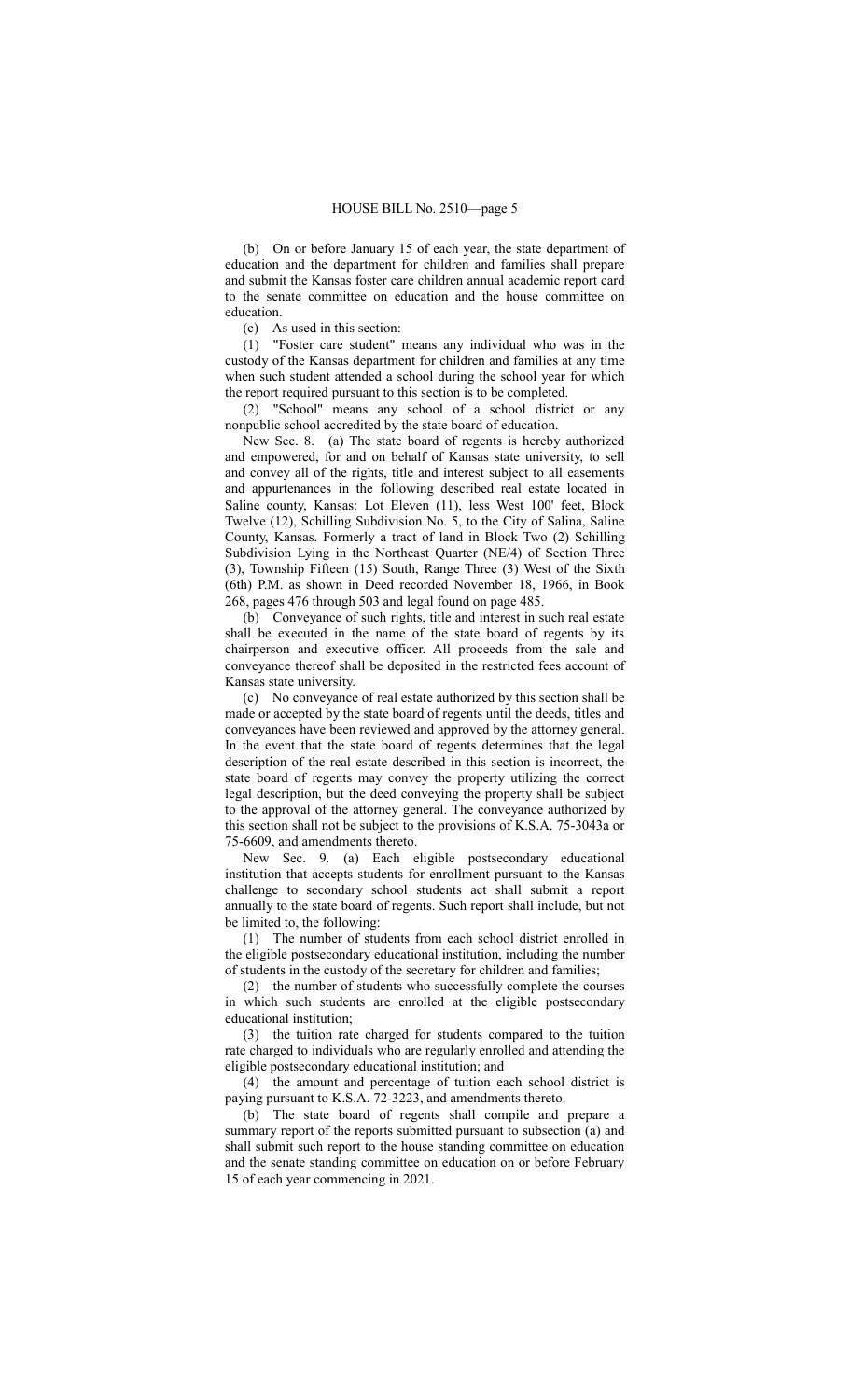(b) On or before January 15 of each year, the state department of education and the department for children and families shall prepare and submit the Kansas foster care children annual academic report card to the senate committee on education and the house committee on education.

(c) As used in this section:

(1) "Foster care student" means any individual who was in the custody of the Kansas department for children and families at any time when such student attended a school during the school year for which the report required pursuant to this section is to be completed.

(2) "School" means any school of a school district or any nonpublic school accredited by the state board of education.

New Sec. 8. (a) The state board of regents is hereby authorized and empowered, for and on behalf of Kansas state university, to sell and convey all of the rights, title and interest subject to all easements and appurtenances in the following described real estate located in Saline county, Kansas: Lot Eleven (11), less West 100' feet, Block Twelve (12), Schilling Subdivision No. 5, to the City of Salina, Saline County, Kansas. Formerly a tract of land in Block Two (2) Schilling Subdivision Lying in the Northeast Quarter (NE/4) of Section Three (3), Township Fifteen (15) South, Range Three (3) West of the Sixth (6th) P.M. as shown in Deed recorded November 18, 1966, in Book 268, pages 476 through 503 and legal found on page 485.

(b) Conveyance of such rights, title and interest in such real estate shall be executed in the name of the state board of regents by its chairperson and executive officer. All proceeds from the sale and conveyance thereof shall be deposited in the restricted fees account of Kansas state university.

(c) No conveyance of real estate authorized by this section shall be made or accepted by the state board of regents until the deeds, titles and conveyances have been reviewed and approved by the attorney general. In the event that the state board of regents determines that the legal description of the real estate described in this section is incorrect, the state board of regents may convey the property utilizing the correct legal description, but the deed conveying the property shall be subject to the approval of the attorney general. The conveyance authorized by this section shall not be subject to the provisions of K.S.A. 75-3043a or 75-6609, and amendments thereto.

New Sec. 9. (a) Each eligible postsecondary educational institution that accepts students for enrollment pursuant to the Kansas challenge to secondary school students act shall submit a report annually to the state board of regents. Such report shall include, but not be limited to, the following:

(1) The number of students from each school district enrolled in the eligible postsecondary educational institution, including the number of students in the custody of the secretary for children and families;

(2) the number of students who successfully complete the courses in which such students are enrolled at the eligible postsecondary educational institution;

(3) the tuition rate charged for students compared to the tuition rate charged to individuals who are regularly enrolled and attending the eligible postsecondary educational institution; and

(4) the amount and percentage of tuition each school district is paying pursuant to K.S.A. 72-3223, and amendments thereto.

(b) The state board of regents shall compile and prepare a summary report of the reports submitted pursuant to subsection (a) and shall submit such report to the house standing committee on education and the senate standing committee on education on or before February 15 of each year commencing in 2021.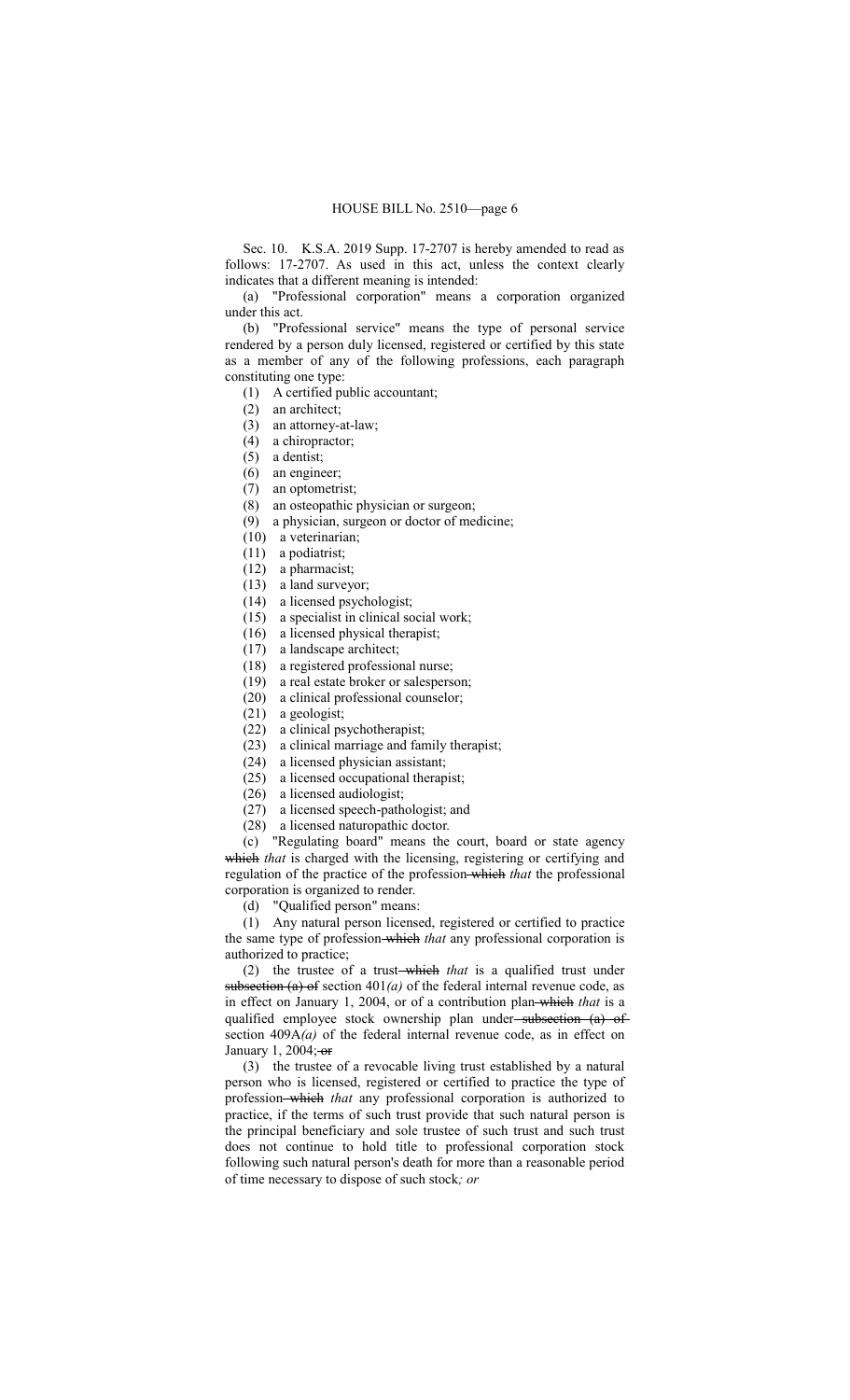Sec. 10. K.S.A. 2019 Supp. 17-2707 is hereby amended to read as follows: 17-2707. As used in this act, unless the context clearly indicates that a different meaning is intended:

(a) "Professional corporation" means a corporation organized under this act.

(b) "Professional service" means the type of personal service rendered by a person duly licensed, registered or certified by this state as a member of any of the following professions, each paragraph constituting one type:

- (1) A certified public accountant;
- (2) an architect;
- (3) an attorney-at-law;
- (4) a chiropractor;
- (5) a dentist;
- (6) an engineer;
- (7) an optometrist;
- (8) an osteopathic physician or surgeon;
- (9) a physician, surgeon or doctor of medicine;
- (10) a veterinarian;
- (11) a podiatrist;
- (12) a pharmacist;
- (13) a land surveyor;
- (14) a licensed psychologist;
- (15) a specialist in clinical social work;
- (16) a licensed physical therapist;
- (17) a landscape architect;
- (18) a registered professional nurse;
- (19) a real estate broker or salesperson;
- (20) a clinical professional counselor;
- (21) a geologist;
- (22) a clinical psychotherapist;
- (23) a clinical marriage and family therapist;
- (24) a licensed physician assistant;
- (25) a licensed occupational therapist;
- (26) a licensed audiologist;
- (27) a licensed speech-pathologist; and
- (28) a licensed naturopathic doctor.

(c) "Regulating board" means the court, board or state agency which that is charged with the licensing, registering or certifying and regulation of the practice of the profession which *that* the professional corporation is organized to render.

(d) "Qualified person" means:

(1) Any natural person licensed, registered or certified to practice the same type of profession which *that* any professional corporation is authorized to practice;

(2) the trustee of a trust which *that* is a qualified trust under subsection (a) of section  $401(a)$  of the federal internal revenue code, as in effect on January 1, 2004, or of a contribution plan which *that* is a qualified employee stock ownership plan under-subsection (a) of section 409A*(a)* of the federal internal revenue code, as in effect on January 1, 2004; $-$ or

(3) the trustee of a revocable living trust established by a natural person who is licensed, registered or certified to practice the type of profession which *that* any professional corporation is authorized to practice, if the terms of such trust provide that such natural person is the principal beneficiary and sole trustee of such trust and such trust does not continue to hold title to professional corporation stock following such natural person's death for more than a reasonable period of time necessary to dispose of such stock*; or*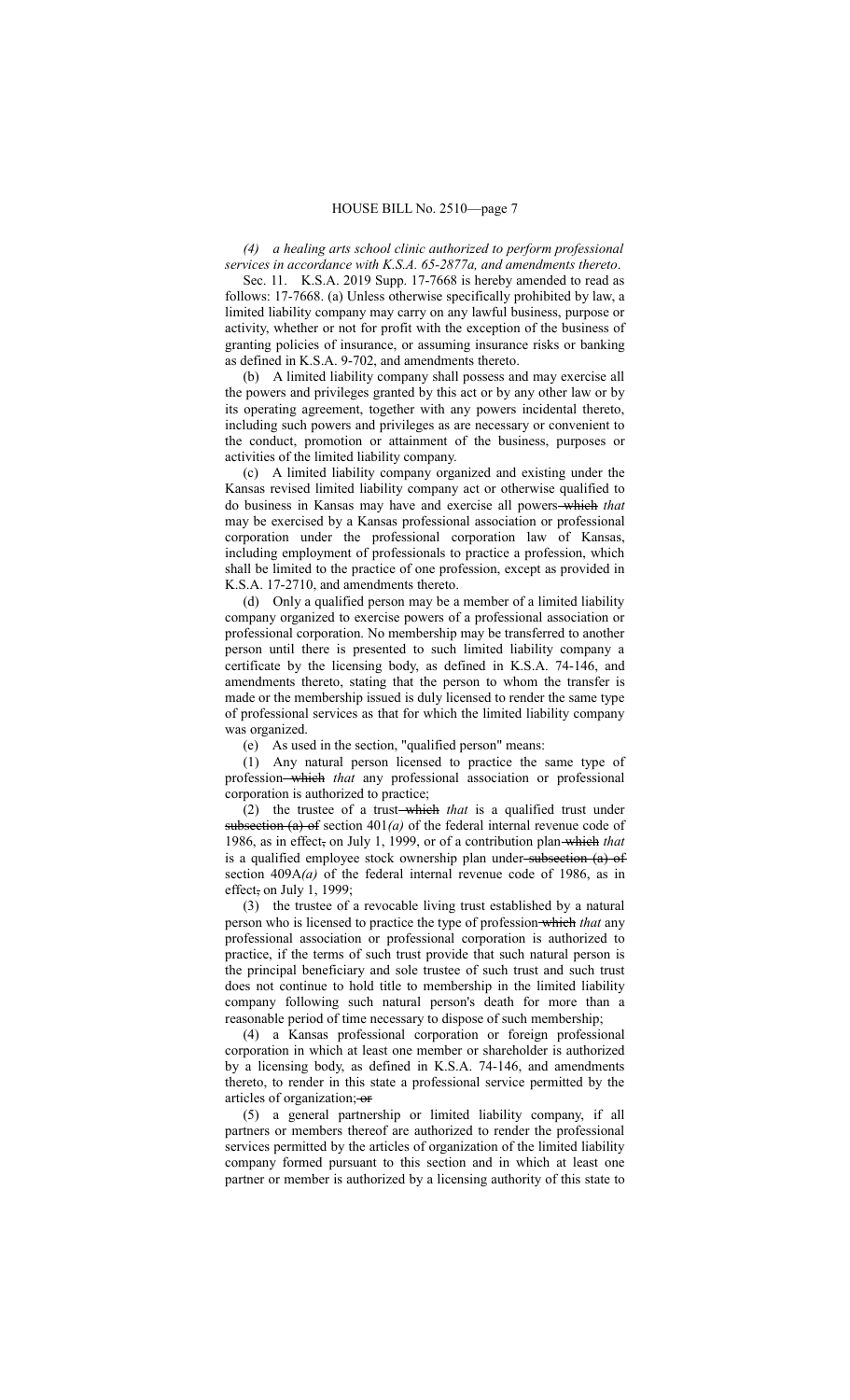*(4) a healing arts school clinic authorized to perform professional services in accordance with K.S.A. 65-2877a, and amendments thereto*.

Sec. 11. K.S.A. 2019 Supp. 17-7668 is hereby amended to read as follows: 17-7668. (a) Unless otherwise specifically prohibited by law, a limited liability company may carry on any lawful business, purpose or activity, whether or not for profit with the exception of the business of granting policies of insurance, or assuming insurance risks or banking as defined in K.S.A. 9-702, and amendments thereto.

(b) A limited liability company shall possess and may exercise all the powers and privileges granted by this act or by any other law or by its operating agreement, together with any powers incidental thereto, including such powers and privileges as are necessary or convenient to the conduct, promotion or attainment of the business, purposes or activities of the limited liability company.

(c) A limited liability company organized and existing under the Kansas revised limited liability company act or otherwise qualified to do business in Kansas may have and exercise all powers which *that* may be exercised by a Kansas professional association or professional corporation under the professional corporation law of Kansas, including employment of professionals to practice a profession, which shall be limited to the practice of one profession, except as provided in K.S.A. 17-2710, and amendments thereto.

(d) Only a qualified person may be a member of a limited liability company organized to exercise powers of a professional association or professional corporation. No membership may be transferred to another person until there is presented to such limited liability company a certificate by the licensing body, as defined in K.S.A. 74-146, and amendments thereto, stating that the person to whom the transfer is made or the membership issued is duly licensed to render the same type of professional services as that for which the limited liability company was organized.

(e) As used in the section, "qualified person" means:

(1) Any natural person licensed to practice the same type of profession which *that* any professional association or professional corporation is authorized to practice;

(2) the trustee of a trust-which that is a qualified trust under subsection  $(a)$  of section  $401(a)$  of the federal internal revenue code of 1986, as in effect, on July 1, 1999, or of a contribution plan which *that* is a qualified employee stock ownership plan under-subsection (a) of section 409A*(a)* of the federal internal revenue code of 1986, as in effect, on July 1, 1999;

(3) the trustee of a revocable living trust established by a natural person who is licensed to practice the type of profession which *that* any professional association or professional corporation is authorized to practice, if the terms of such trust provide that such natural person is the principal beneficiary and sole trustee of such trust and such trust does not continue to hold title to membership in the limited liability company following such natural person's death for more than a reasonable period of time necessary to dispose of such membership;

(4) a Kansas professional corporation or foreign professional corporation in which at least one member or shareholder is authorized by a licensing body, as defined in K.S.A. 74-146, and amendments thereto, to render in this state a professional service permitted by the articles of organization; or

(5) a general partnership or limited liability company, if all partners or members thereof are authorized to render the professional services permitted by the articles of organization of the limited liability company formed pursuant to this section and in which at least one partner or member is authorized by a licensing authority of this state to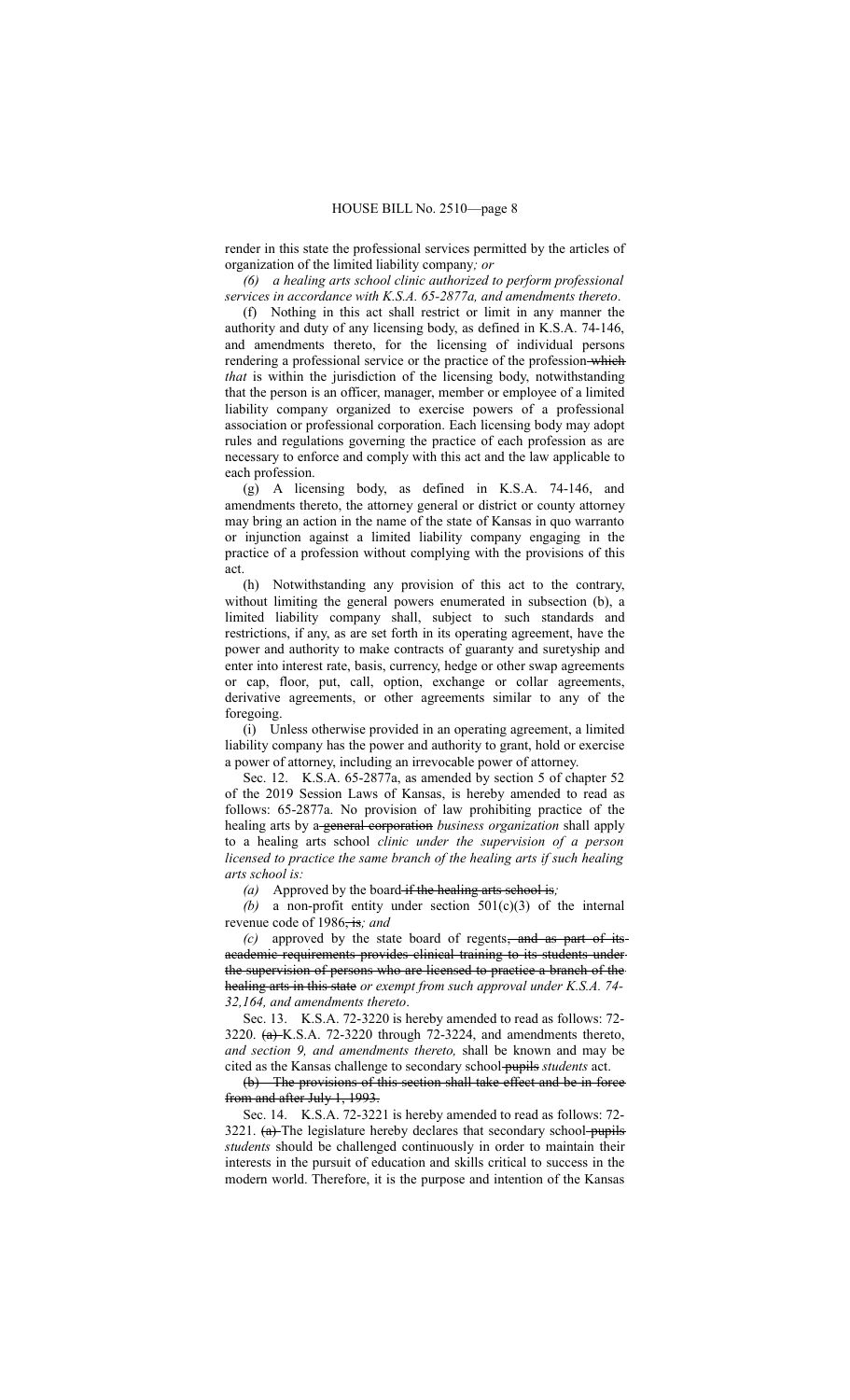render in this state the professional services permitted by the articles of organization of the limited liability company*; or*

*(6) a healing arts school clinic authorized to perform professional services in accordance with K.S.A. 65-2877a, and amendments thereto*.

(f) Nothing in this act shall restrict or limit in any manner the authority and duty of any licensing body, as defined in K.S.A. 74-146, and amendments thereto, for the licensing of individual persons rendering a professional service or the practice of the profession-which *that* is within the jurisdiction of the licensing body, notwithstanding that the person is an officer, manager, member or employee of a limited liability company organized to exercise powers of a professional association or professional corporation. Each licensing body may adopt rules and regulations governing the practice of each profession as are necessary to enforce and comply with this act and the law applicable to each profession.

(g) A licensing body, as defined in K.S.A. 74-146, and amendments thereto, the attorney general or district or county attorney may bring an action in the name of the state of Kansas in quo warranto or injunction against a limited liability company engaging in the practice of a profession without complying with the provisions of this act.

(h) Notwithstanding any provision of this act to the contrary, without limiting the general powers enumerated in subsection (b), a limited liability company shall, subject to such standards and restrictions, if any, as are set forth in its operating agreement, have the power and authority to make contracts of guaranty and suretyship and enter into interest rate, basis, currency, hedge or other swap agreements or cap, floor, put, call, option, exchange or collar agreements, derivative agreements, or other agreements similar to any of the foregoing.

(i) Unless otherwise provided in an operating agreement, a limited liability company has the power and authority to grant, hold or exercise a power of attorney, including an irrevocable power of attorney.

Sec. 12. K.S.A. 65-2877a, as amended by section 5 of chapter 52 of the 2019 Session Laws of Kansas, is hereby amended to read as follows: 65-2877a. No provision of law prohibiting practice of the healing arts by a general corporation *business organization* shall apply to a healing arts school *clinic under the supervision of a person licensed to practice the same branch of the healing arts if such healing arts school is:*

*(a)* Approved by the board if the healing arts school is*;*

*(b)* a non-profit entity under section 501(c)(3) of the internal revenue code of 1986, is*; and*

*(c)* approved by the state board of regents, and as part of its academic requirements provides clinical training to its students under the supervision of persons who are licensed to practice a branch of the healing arts in this state *or exempt from such approval under K.S.A. 74- 32,164, and amendments thereto*.

Sec. 13. K.S.A. 72-3220 is hereby amended to read as follows: 72- 3220. (a) K.S.A. 72-3220 through 72-3224, and amendments thereto, *and section 9, and amendments thereto,* shall be known and may be cited as the Kansas challenge to secondary school pupils *students* act.

(b) The provisions of this section shall take effect and be in force from and after July 1, 1993.

Sec. 14. K.S.A. 72-3221 is hereby amended to read as follows: 72- 3221.  $(a)$ -The legislature hereby declares that secondary school-pupils *students* should be challenged continuously in order to maintain their interests in the pursuit of education and skills critical to success in the modern world. Therefore, it is the purpose and intention of the Kansas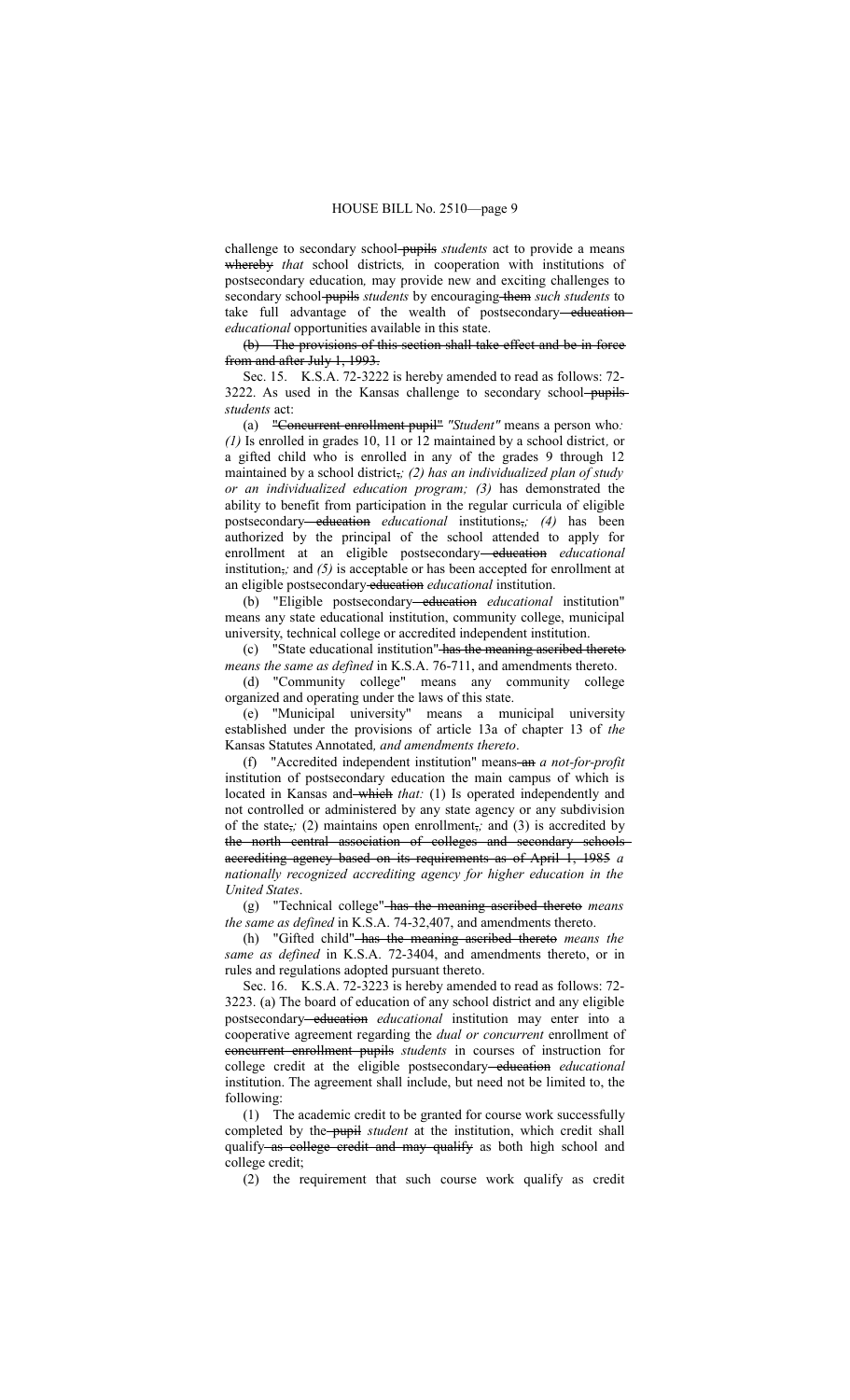challenge to secondary school pupils *students* act to provide a means whereby *that* school districts*,* in cooperation with institutions of postsecondary education*,* may provide new and exciting challenges to secondary school-pupils *students* by encouraging them *such students* to take full advantage of the wealth of postsecondary-education *educational* opportunities available in this state.

(b) The provisions of this section shall take effect and be in force from and after July 1, 1993.

Sec. 15. K.S.A. 72-3222 is hereby amended to read as follows: 72- 3222. As used in the Kansas challenge to secondary school-pupils*students* act:

(a) "Concurrent enrollment pupil" *"Student"* means a person who*: (1)* Is enrolled in grades 10, 11 or 12 maintained by a school district*,* or a gifted child who is enrolled in any of the grades 9 through 12 maintained by a school district,*; (2) has an individualized plan of study or an individualized education program; (3)* has demonstrated the ability to benefit from participation in the regular curricula of eligible postsecondary education *educational* institutions,*; (4)* has been authorized by the principal of the school attended to apply for enrollment at an eligible postsecondary-education educational institution,*;* and *(5)* is acceptable or has been accepted for enrollment at an eligible postsecondary education educational institution.

(b) "Eligible postsecondary education *educational* institution" means any state educational institution, community college, municipal university, technical college or accredited independent institution.

(c) "State educational institution" has the meaning ascribed thereto *means the same as defined* in K.S.A. 76-711, and amendments thereto.

(d) "Community college" means any community college organized and operating under the laws of this state.

(e) "Municipal university" means a municipal university established under the provisions of article 13a of chapter 13 of *the* Kansas Statutes Annotated*, and amendments thereto*.

(f) "Accredited independent institution" means an *a not-for-profit* institution of postsecondary education the main campus of which is located in Kansas and-which that: (1) Is operated independently and not controlled or administered by any state agency or any subdivision of the state,*;* (2) maintains open enrollment,*;* and (3) is accredited by the north central association of colleges and secondary schools accrediting agency based on its requirements as of April 1, 1985 *a nationally recognized accrediting agency for higher education in the United States*.

(g) "Technical college" has the meaning ascribed thereto *means the same as defined* in K.S.A. 74-32,407, and amendments thereto.

(h) "Gifted child" has the meaning ascribed thereto *means the same as defined* in K.S.A. 72-3404, and amendments thereto, or in rules and regulations adopted pursuant thereto.

Sec. 16. K.S.A. 72-3223 is hereby amended to read as follows: 72- 3223. (a) The board of education of any school district and any eligible postsecondary-education *educational* institution may enter into a cooperative agreement regarding the *dual or concurrent* enrollment of concurrent enrollment pupils *students* in courses of instruction for college credit at the eligible postsecondary-education educational institution. The agreement shall include, but need not be limited to, the following:

(1) The academic credit to be granted for course work successfully completed by the pupil *student* at the institution, which credit shall qualify as college credit and may qualify as both high school and college credit;

(2) the requirement that such course work qualify as credit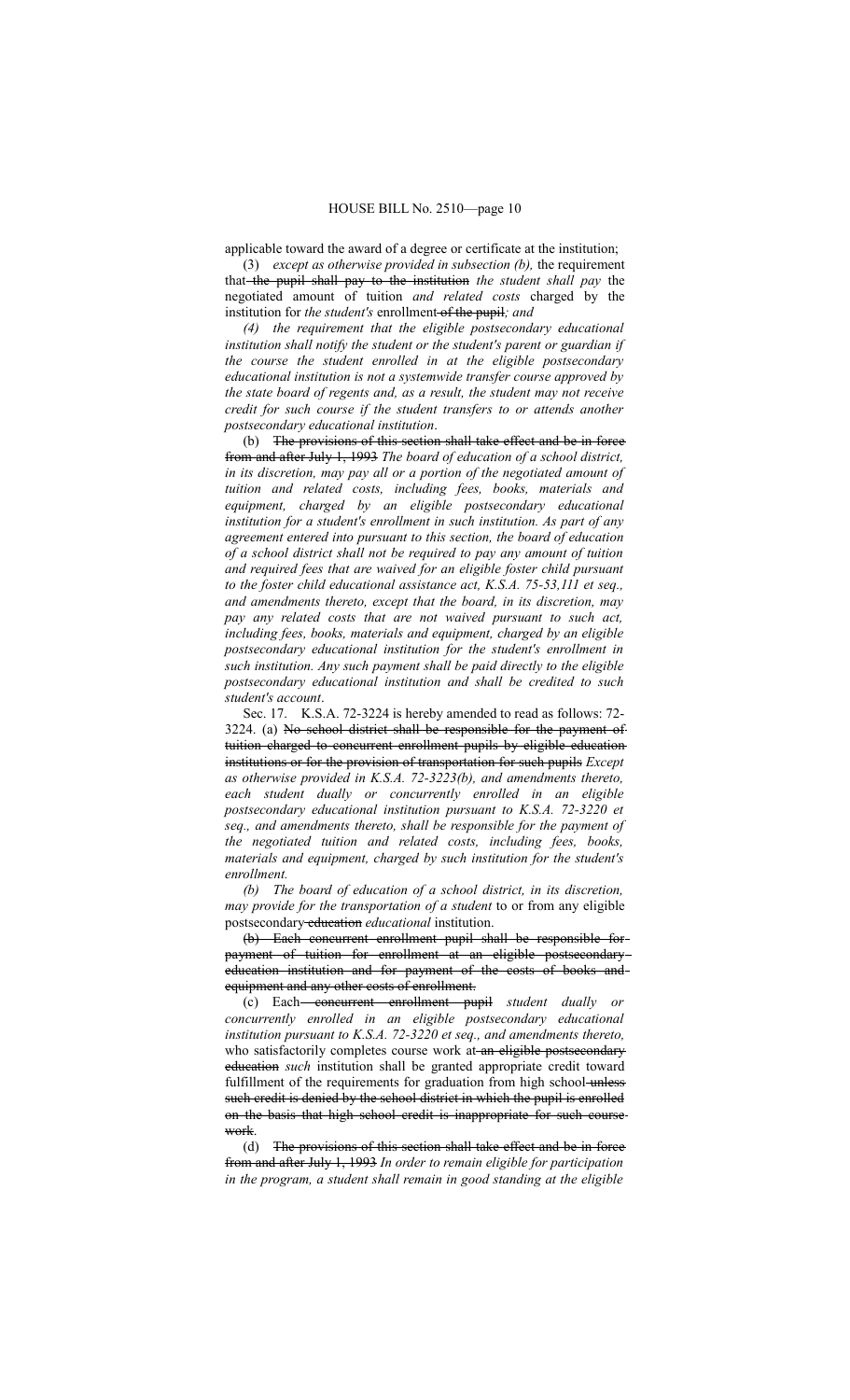applicable toward the award of a degree or certificate at the institution;

(3) *except as otherwise provided in subsection (b),* the requirement that the pupil shall pay to the institution *the student shall pay* the negotiated amount of tuition *and related costs* charged by the institution for *the student's* enrollment of the pupil*; and*

*(4) the requirement that the eligible postsecondary educational institution shall notify the student or the student's parent or guardian if the course the student enrolled in at the eligible postsecondary educational institution is not a systemwide transfer course approved by the state board of regents and, as a result, the student may not receive credit for such course if the student transfers to or attends another postsecondary educational institution*.

(b) The provisions of this section shall take effect and be in force from and after July 1, 1993 *The board of education of a school district, in its discretion, may pay all or a portion of the negotiated amount of tuition and related costs, including fees, books, materials and equipment, charged by an eligible postsecondary educational institution for a student's enrollment in such institution. As part of any agreement entered into pursuant to this section, the board of education of a school district shall not be required to pay any amount of tuition and required fees that are waived for an eligible foster child pursuant to the foster child educational assistance act, K.S.A. 75-53,111 et seq., and amendments thereto, except that the board, in its discretion, may pay any related costs that are not waived pursuant to such act, including fees, books, materials and equipment, charged by an eligible postsecondary educational institution for the student's enrollment in such institution. Any such payment shall be paid directly to the eligible postsecondary educational institution and shall be credited to such student's account*.

Sec. 17. K.S.A. 72-3224 is hereby amended to read as follows: 72- 3224. (a) No school district shall be responsible for the payment of tuition charged to concurrent enrollment pupils by eligible education institutions or for the provision of transportation for such pupils *Except as otherwise provided in K.S.A. 72-3223(b), and amendments thereto, each student dually or concurrently enrolled in an eligible postsecondary educational institution pursuant to K.S.A. 72-3220 et seq., and amendments thereto, shall be responsible for the payment of the negotiated tuition and related costs, including fees, books, materials and equipment, charged by such institution for the student's enrollment.*

*(b) The board of education of a school district, in its discretion, may provide for the transportation of a student* to or from any eligible postsecondary education *educational* institution.

(b) Each concurrent enrollment pupil shall be responsible for payment of tuition for enrollment at an eligible postsecondary education institution and for payment of the costs of books and equipment and any other costs of enrollment.

(c) Each concurrent enrollment pupil *student dually or concurrently enrolled in an eligible postsecondary educational institution pursuant to K.S.A. 72-3220 et seq., and amendments thereto,* who satisfactorily completes course work at an eligible postsecondary education *such* institution shall be granted appropriate credit toward fulfillment of the requirements for graduation from high school-unless such credit is denied by the school district in which the pupil is enrolled on the basis that high school credit is inappropriate for such course work.

(d) The provisions of this section shall take effect and be in force from and after July 1, 1993 *In order to remain eligible for participation in the program, a student shall remain in good standing at the eligible*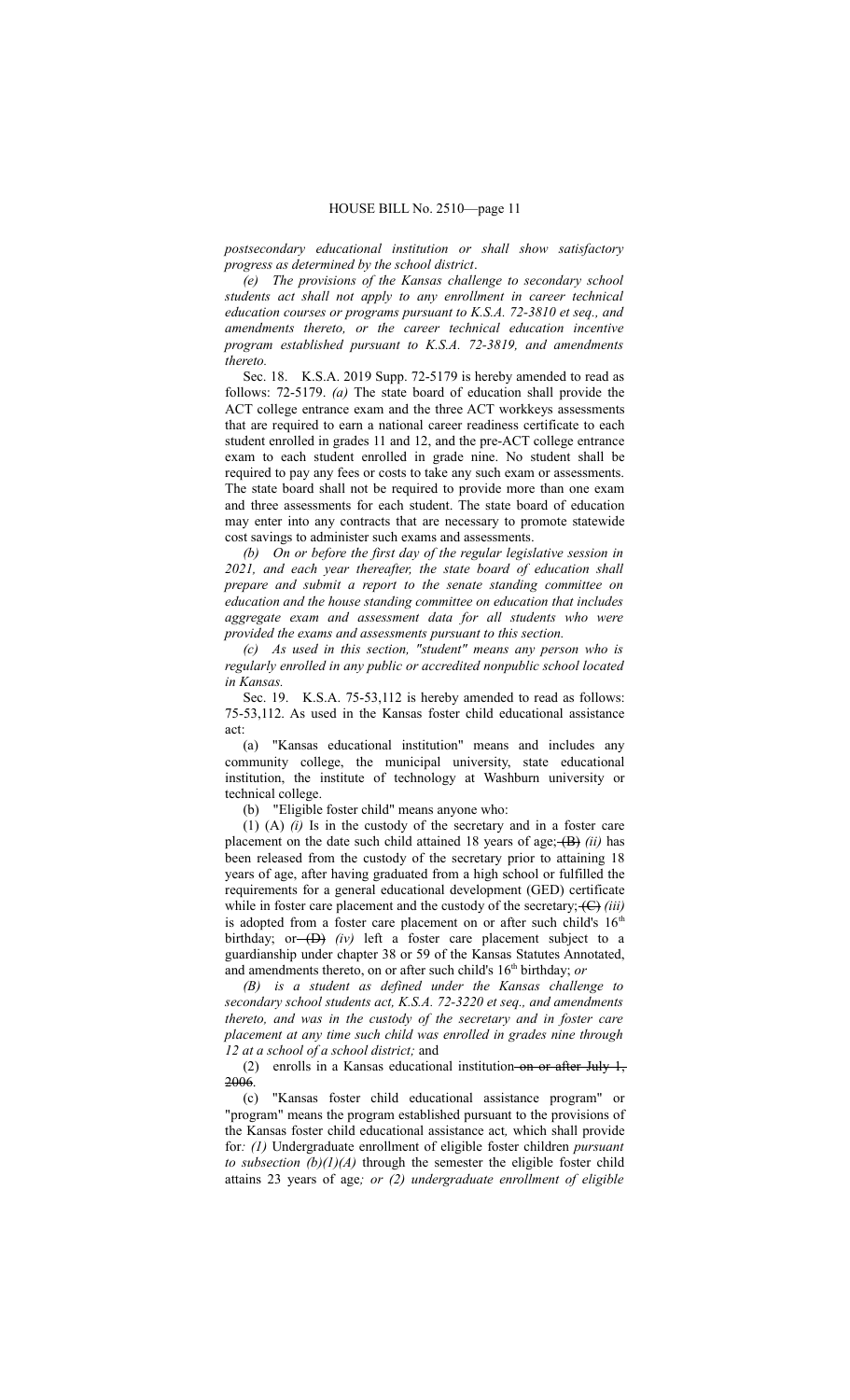*postsecondary educational institution or shall show satisfactory progress as determined by the school district*.

*(e) The provisions of the Kansas challenge to secondary school students act shall not apply to any enrollment in career technical education courses or programs pursuant to K.S.A. 72-3810 et seq., and amendments thereto, or the career technical education incentive program established pursuant to K.S.A. 72-3819, and amendments thereto.*

Sec. 18. K.S.A. 2019 Supp. 72-5179 is hereby amended to read as follows: 72-5179. *(a)* The state board of education shall provide the ACT college entrance exam and the three ACT workkeys assessments that are required to earn a national career readiness certificate to each student enrolled in grades 11 and 12, and the pre-ACT college entrance exam to each student enrolled in grade nine. No student shall be required to pay any fees or costs to take any such exam or assessments. The state board shall not be required to provide more than one exam and three assessments for each student. The state board of education may enter into any contracts that are necessary to promote statewide cost savings to administer such exams and assessments.

*(b) On or before the first day of the regular legislative session in 2021, and each year thereafter, the state board of education shall prepare and submit a report to the senate standing committee on education and the house standing committee on education that includes aggregate exam and assessment data for all students who were provided the exams and assessments pursuant to this section.*

*(c) As used in this section, "student" means any person who is regularly enrolled in any public or accredited nonpublic school located in Kansas.*

Sec. 19. K.S.A. 75-53,112 is hereby amended to read as follows: 75-53,112. As used in the Kansas foster child educational assistance act:

(a) "Kansas educational institution" means and includes any community college, the municipal university, state educational institution, the institute of technology at Washburn university or technical college.

(b) "Eligible foster child" means anyone who:

(1) (A) *(i)* Is in the custody of the secretary and in a foster care placement on the date such child attained 18 years of age; (B) *(ii)* has been released from the custody of the secretary prior to attaining 18 years of age, after having graduated from a high school or fulfilled the requirements for a general educational development (GED) certificate while in foster care placement and the custody of the secretary;  $\left(\frac{C}{i}\right)$  *(iii)* is adopted from a foster care placement on or after such child's  $16<sup>th</sup>$ birthday; or (D) *(iv)* left a foster care placement subject to a guardianship under chapter 38 or 59 of the Kansas Statutes Annotated, and amendments thereto, on or after such child's 16<sup>th</sup> birthday; *or* 

*(B) is a student as defined under the Kansas challenge to secondary school students act, K.S.A. 72-3220 et seq., and amendments thereto, and was in the custody of the secretary and in foster care placement at any time such child was enrolled in grades nine through 12 at a school of a school district;* and

(2) enrolls in a Kansas educational institution on or after July 1, 2006.

(c) "Kansas foster child educational assistance program" or "program" means the program established pursuant to the provisions of the Kansas foster child educational assistance act*,* which shall provide for*: (1)* Undergraduate enrollment of eligible foster children *pursuant to subsection*  $(b)(1)(A)$  through the semester the eligible foster child attains 23 years of age*; or (2) undergraduate enrollment of eligible*